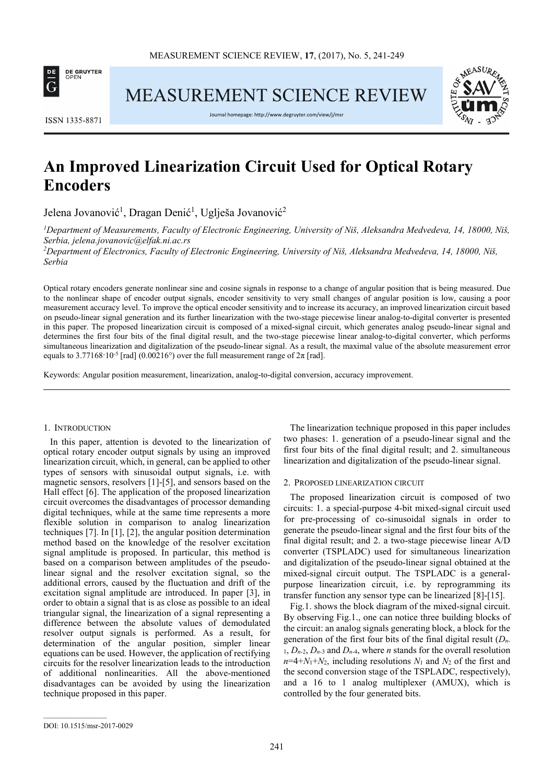

**MEASUREMENT SCIENCE REVIEW** 



ISSN 1335-8871

Journal homepage: http://www.degruyter.com/view/j/msr

# **An Improved Linearization Circuit Used for Optical Rotary Encoders**

Jelena Jovanović<sup>1</sup>, Dragan Denić<sup>1</sup>, Uglješa Jovanović<sup>2</sup>

*<sup>1</sup>Department of Measurements, Faculty of Electronic Engineering, University of Niš, Aleksandra Medvedeva, 14, 18000, Niš, Serbia, jelena.jovanovic@elfak.ni.ac.rs* 

*<sup>2</sup>Department of Electronics, Faculty of Electronic Engineering, University of Niš, Aleksandra Medvedeva, 14, 18000, Niš, Serbia* 

Optical rotary encoders generate nonlinear sine and cosine signals in response to a change of angular position that is being measured. Due to the nonlinear shape of encoder output signals, encoder sensitivity to very small changes of angular position is low, causing a poor measurement accuracy level. To improve the optical encoder sensitivity and to increase its accuracy, an improved linearization circuit based on pseudo-linear signal generation and its further linearization with the two-stage piecewise linear analog-to-digital converter is presented in this paper. The proposed linearization circuit is composed of a mixed-signal circuit, which generates analog pseudo-linear signal and determines the first four bits of the final digital result, and the two-stage piecewise linear analog-to-digital converter, which performs simultaneous linearization and digitalization of the pseudo-linear signal. As a result, the maximal value of the absolute measurement error equals to 3.77168·10<sup>-5</sup> [rad] (0.00216°) over the full measurement range of  $2\pi$  [rad].

Keywords: Angular position measurement, linearization, analog-to-digital conversion, accuracy improvement.

#### 1. INTRODUCTION

In this paper, attention is devoted to the linearization of optical rotary encoder output signals by using an improved linearization circuit, which, in general, can be applied to other types of sensors with sinusoidal output signals, i.e. with magnetic sensors, resolvers [1]-[5], and sensors based on the Hall effect [6]. The application of the proposed linearization circuit overcomes the disadvantages of processor demanding digital techniques, while at the same time represents a more flexible solution in comparison to analog linearization techniques [7]. In [1], [2], the angular position determination method based on the knowledge of the resolver excitation signal amplitude is proposed. In particular, this method is based on a comparison between amplitudes of the pseudolinear signal and the resolver excitation signal, so the additional errors, caused by the fluctuation and drift of the excitation signal amplitude are introduced. In paper [3], in order to obtain a signal that is as close as possible to an ideal triangular signal, the linearization of a signal representing a difference between the absolute values of demodulated resolver output signals is performed. As a result, for determination of the angular position, simpler linear equations can be used. However, the application of rectifying circuits for the resolver linearization leads to the introduction of additional nonlinearities. All the above-mentioned disadvantages can be avoided by using the linearization technique proposed in this paper.

The linearization technique proposed in this paper includes two phases: 1. generation of a pseudo-linear signal and the first four bits of the final digital result; and 2. simultaneous linearization and digitalization of the pseudo-linear signal.

#### 2. PROPOSED LINEARIZATION CIRCUIT

The proposed linearization circuit is composed of two circuits: 1. a special-purpose 4-bit mixed-signal circuit used for pre-processing of co-sinusoidal signals in order to generate the pseudo-linear signal and the first four bits of the final digital result; and 2. a two-stage piecewise linear A/D converter (TSPLADC) used for simultaneous linearization and digitalization of the pseudo-linear signal obtained at the mixed-signal circuit output. The TSPLADC is a generalpurpose linearization circuit, i.e. by reprogramming its transfer function any sensor type can be linearized [8]-[15].

Fig.1. shows the block diagram of the mixed-signal circuit. By observing Fig.1., one can notice three building blocks of the circuit: an analog signals generating block, a block for the generation of the first four bits of the final digital result (*Dn*- $1, D_{n-2}, D_{n-3}$  and  $D_{n-4}$ , where *n* stands for the overall resolution  $n=4+N_1+N_2$ , including resolutions  $N_1$  and  $N_2$  of the first and the second conversion stage of the TSPLADC, respectively), and a 16 to 1 analog multiplexer (AMUX), which is controlled by the four generated bits.

DOI: 10.1515/msr-2017-0029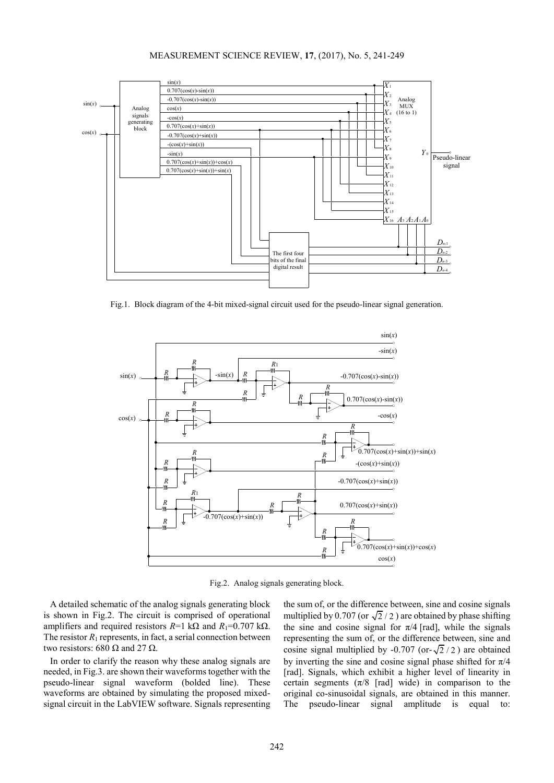## MEASUREMENT SCIENCE REVIEW, **17**, (2017), No. 5, 241-249



Fig.1. Block diagram of the 4-bit mixed-signal circuit used for the pseudo-linear signal generation.



Fig.2. Analog signals generating block.

A detailed schematic of the analog signals generating block is shown in Fig.2. The circuit is comprised of operational amplifiers and required resistors  $R=1$  kΩ and  $R_1=0.707$  kΩ. The resistor  $R_1$  represents, in fact, a serial connection between two resistors: 680 Ω and 27 Ω.

In order to clarify the reason why these analog signals are needed, in Fig.3. are shown their waveforms together with the pseudo-linear signal waveform (bolded line). These waveforms are obtained by simulating the proposed mixedsignal circuit in the LabVIEW software. Signals representing

the sum of, or the difference between, sine and cosine signals multiplied by 0.707 (or  $\sqrt{2}/2$ ) are obtained by phase shifting the sine and cosine signal for  $\pi/4$  [rad], while the signals representing the sum of, or the difference between, sine and cosine signal multiplied by -0.707 (or- $\sqrt{2}/2$ ) are obtained by inverting the sine and cosine signal phase shifted for  $\pi/4$ [rad]. Signals, which exhibit a higher level of linearity in certain segments ( $\pi/8$  [rad] wide) in comparison to the original co-sinusoidal signals, are obtained in this manner. The pseudo-linear signal amplitude is equal to: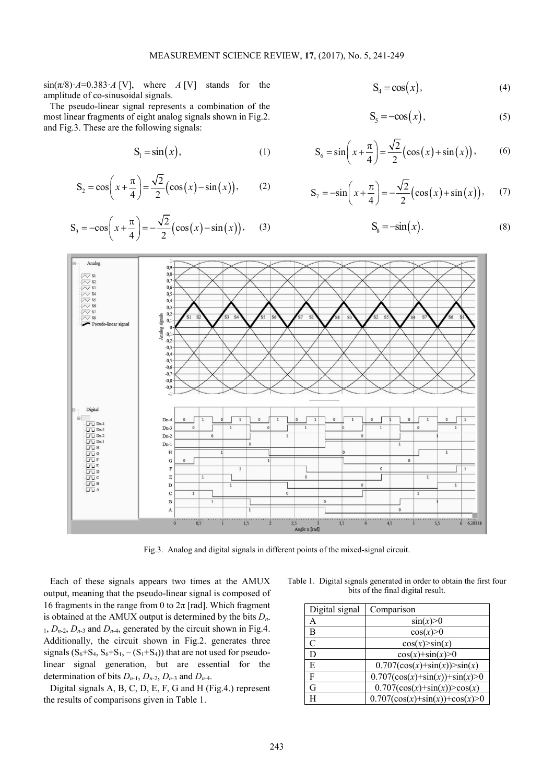$\sin(\pi/8) \cdot A = 0.383 \cdot A$  [V], where *A* [V] stands for the amplitude of co-sinusoidal signals.

The pseudo-linear signal represents a combination of the most linear fragments of eight analog signals shown in Fig.2. and Fig.3. These are the following signals:

$$
S_1 = \sin(x), \tag{1}
$$

$$
S_2 = \cos\left(x + \frac{\pi}{4}\right) = \frac{\sqrt{2}}{2} \left(\cos(x) - \sin(x)\right),\tag{2}
$$

$$
S_3 = -\cos\left(x + \frac{\pi}{4}\right) = -\frac{\sqrt{2}}{2} \left(\cos(x) - \sin(x)\right),\tag{3}
$$

$$
S_4 = \cos(x), \tag{4}
$$

$$
S_5 = -\cos(x),\tag{5}
$$

$$
S_6 = \sin\left(x + \frac{\pi}{4}\right) = \frac{\sqrt{2}}{2} \left(\cos(x) + \sin(x)\right),
$$
 (6)

$$
S_7 = -\sin\left(x + \frac{\pi}{4}\right) = -\frac{\sqrt{2}}{2} \left(\cos(x) + \sin(x)\right),\tag{7}
$$

$$
S_8 = -\sin(x). \tag{8}
$$



Fig.3. Analog and digital signals in different points of the mixed-signal circuit.

Each of these signals appears two times at the AMUX output, meaning that the pseudo-linear signal is composed of 16 fragments in the range from 0 to  $2\pi$  [rad]. Which fragment is obtained at the AMUX output is determined by the bits  $D_n$ - $1, D_{n-2}, D_{n-3}$  and  $D_{n-4}$ , generated by the circuit shown in Fig.4. Additionally, the circuit shown in Fig.2. generates three signals  $(S_6 + S_4, S_6 + S_1, -(S_1 + S_4))$  that are not used for pseudolinear signal generation, but are essential for the determination of bits  $D_{n-1}$ ,  $D_{n-2}$ ,  $D_{n-3}$  and  $D_{n-4}$ .

Digital signals A, B, C, D, E, F, G and H (Fig.4.) represent the results of comparisons given in Table 1.

Table 1. Digital signals generated in order to obtain the first four bits of the final digital result.

| Digital signal        | Comparison                         |
|-----------------------|------------------------------------|
| A                     | $\sin(x) > 0$                      |
| B                     | cos(x) > 0                         |
| $\mathcal{C}_{0}^{0}$ | cos(x) > sin(x)                    |
| D                     | $cos(x)+sin(x)>0$                  |
| E                     | $0.707(\cos(x)+\sin(x))>\sin(x)$   |
| F                     | $0.707(\cos(x)+\sin(x))+\sin(x)>0$ |
| G                     | $0.707(\cos(x)+\sin(x))>\cos(x)$   |
| H                     | $0.707(\cos(x)+\sin(x))+\cos(x)>0$ |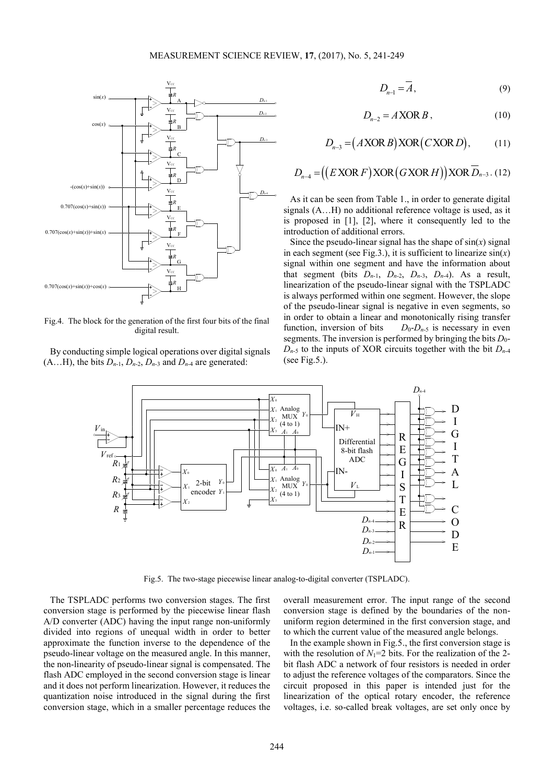

Fig.4. The block for the generation of the first four bits of the final digital result.

By conducting simple logical operations over digital signals  $(A...H)$ , the bits  $D_{n-1}$ ,  $D_{n-2}$ ,  $D_{n-3}$  and  $D_{n-4}$  are generated:

$$
D_{n-1} = \overline{A},\tag{9}
$$

$$
D_{n-2} = A \, \text{XOR } B \,, \tag{10}
$$

$$
D_{n-3} = (AXORB)XOR(CXORD), \qquad (11)
$$

$$
D_{n-4} = ((E \text{ XOR } F) \text{ XOR } (G \text{ XOR } H)) \text{ XOR } \overline{D}_{n-3}.
$$
 (12)

As it can be seen from Table 1., in order to generate digital signals (A…H) no additional reference voltage is used, as it is proposed in [1], [2], where it consequently led to the introduction of additional errors.

Since the pseudo-linear signal has the shape of  $sin(x)$  signal in each segment (see Fig. 3.), it is sufficient to linearize  $sin(x)$ signal within one segment and have the information about that segment (bits  $D_{n-1}$ ,  $D_{n-2}$ ,  $D_{n-3}$ ,  $D_{n-4}$ ). As a result, linearization of the pseudo-linear signal with the TSPLADC is always performed within one segment. However, the slope of the pseudo-linear signal is negative in even segments, so in order to obtain a linear and monotonically rising transfer function, inversion of bits  $D_0-D_{n-5}$  is necessary in even segments. The inversion is performed by bringing the bits  $D_0$ - $D_{n-5}$  to the inputs of XOR circuits together with the bit  $D_{n-4}$ (see Fig.5.).



Fig.5. The two-stage piecewise linear analog-to-digital converter (TSPLADC).

The TSPLADC performs two conversion stages. The first conversion stage is performed by the piecewise linear flash A/D converter (ADC) having the input range non-uniformly divided into regions of unequal width in order to better approximate the function inverse to the dependence of the pseudo-linear voltage on the measured angle. In this manner, the non-linearity of pseudo-linear signal is compensated. The flash ADC employed in the second conversion stage is linear and it does not perform linearization. However, it reduces the quantization noise introduced in the signal during the first conversion stage, which in a smaller percentage reduces the

overall measurement error. The input range of the second conversion stage is defined by the boundaries of the nonuniform region determined in the first conversion stage, and to which the current value of the measured angle belongs.

In the example shown in Fig.5., the first conversion stage is with the resolution of  $N_1=2$  bits. For the realization of the 2bit flash ADC a network of four resistors is needed in order to adjust the reference voltages of the comparators. Since the circuit proposed in this paper is intended just for the linearization of the optical rotary encoder, the reference voltages, i.e. so-called break voltages, are set only once by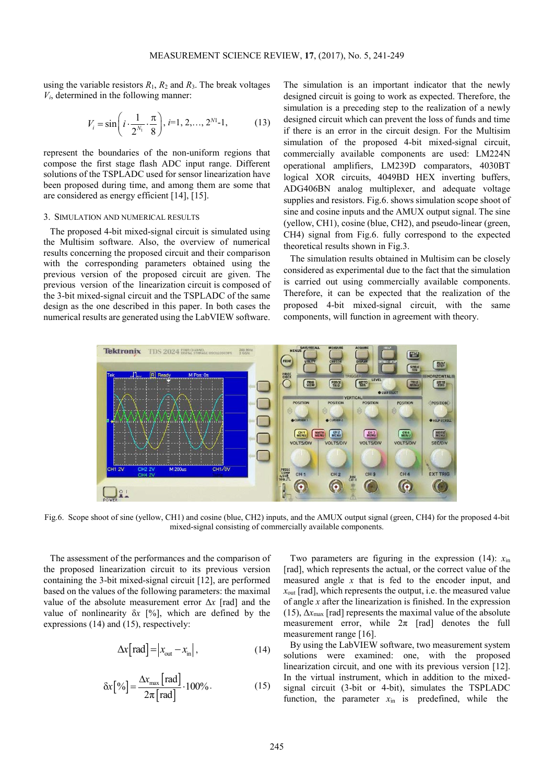using the variable resistors  $R_1$ ,  $R_2$  and  $R_3$ . The break voltages *Vi*, determined in the following manner:

$$
V_i = \sin\left(i \cdot \frac{1}{2^{N_1}} \cdot \frac{\pi}{8}\right), i=1, 2, ..., 2^{N_1} - 1,
$$
 (13)

represent the boundaries of the non-uniform regions that compose the first stage flash ADC input range. Different solutions of the TSPLADC used for sensor linearization have been proposed during time, and among them are some that are considered as energy efficient [14], [15].

#### 3. SIMULATION AND NUMERICAL RESULTS

The proposed 4-bit mixed-signal circuit is simulated using the Multisim software. Also, the overview of numerical results concerning the proposed circuit and their comparison with the corresponding parameters obtained using the previous version of the proposed circuit are given. The previous version of the linearization circuit is composed of the 3-bit mixed-signal circuit and the TSPLADC of the same design as the one described in this paper. In both cases the numerical results are generated using the LabVIEW software.

The simulation is an important indicator that the newly designed circuit is going to work as expected. Therefore, the simulation is a preceding step to the realization of a newly designed circuit which can prevent the loss of funds and time if there is an error in the circuit design. For the Multisim simulation of the proposed 4-bit mixed-signal circuit, commercially available components are used: LM224N operational amplifiers, LM239D comparators, 4030BT logical XOR circuits, 4049BD HEX inverting buffers, ADG406BN analog multiplexer, and adequate voltage supplies and resistors. Fig.6. shows simulation scope shoot of sine and cosine inputs and the AMUX output signal. The sine (yellow, CH1), cosine (blue, CH2), and pseudo-linear (green, CH4) signal from Fig.6. fully correspond to the expected theoretical results shown in Fig.3.

The simulation results obtained in Multisim can be closely considered as experimental due to the fact that the simulation is carried out using commercially available components. Therefore, it can be expected that the realization of the proposed 4-bit mixed-signal circuit, with the same components, will function in agreement with theory.



Fig.6. Scope shoot of sine (yellow, CH1) and cosine (blue, CH2) inputs, and the AMUX output signal (green, CH4) for the proposed 4-bit mixed-signal consisting of commercially available components.

The assessment of the performances and the comparison of the proposed linearization circuit to its previous version containing the 3-bit mixed-signal circuit [12], are performed based on the values of the following parameters: the maximal value of the absolute measurement error Δ*x* [rad] and the value of nonlinearity  $\delta x$  [%], which are defined by the expressions (14) and (15), respectively:

$$
\Delta x[\text{rad}] = |x_{\text{out}} - x_{\text{in}}|,\tag{14}
$$

$$
\delta x[\%] = \frac{\Delta x_{\text{max}} \text{[rad]}}{2\pi \text{[rad]}} \cdot 100\% \,. \tag{15}
$$

Two parameters are figuring in the expression  $(14)$ :  $x_{in}$ [rad], which represents the actual, or the correct value of the measured angle *x* that is fed to the encoder input, and *x*out [rad], which represents the output, i.e. the measured value of angle *x* after the linearization is finished. In the expression (15),  $\Delta x_{\text{max}}$  [rad] represents the maximal value of the absolute measurement error, while  $2\pi$  [rad] denotes the full measurement range [16].

By using the LabVIEW software, two measurement system solutions were examined: one, with the proposed linearization circuit, and one with its previous version [12]. In the virtual instrument, which in addition to the mixedsignal circuit (3-bit or 4-bit), simulates the TSPLADC function, the parameter  $x_{in}$  is predefined, while the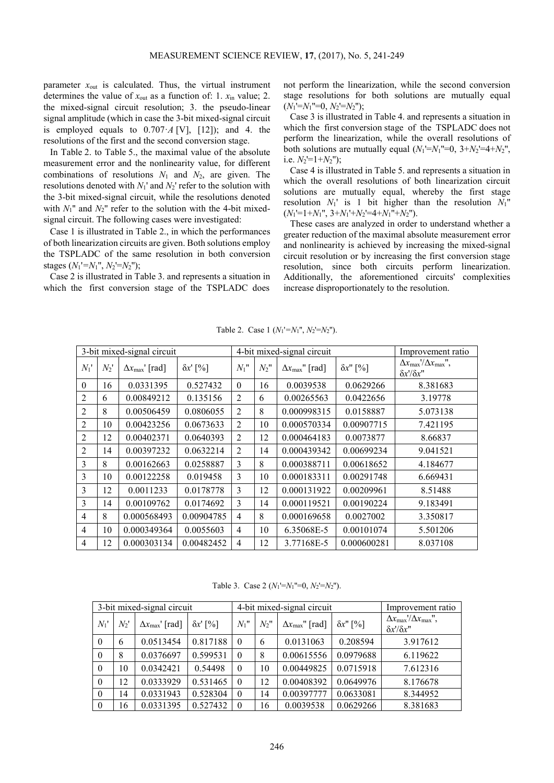parameter  $x_{\text{out}}$  is calculated. Thus, the virtual instrument determines the value of  $x_{\text{out}}$  as a function of: 1.  $x_{\text{in}}$  value; 2. the mixed-signal circuit resolution; 3. the pseudo-linear signal amplitude (which in case the 3-bit mixed-signal circuit is employed equals to  $0.707 \cdot A$  [V], [12]); and 4. the resolutions of the first and the second conversion stage.

In Table 2. to Table 5., the maximal value of the absolute measurement error and the nonlinearity value, for different combinations of resolutions *N*1 and *N*2, are given. The resolutions denoted with *N*1' and *N*2' refer to the solution with the 3-bit mixed-signal circuit, while the resolutions denoted with  $N_1$ <sup>"</sup> and  $N_2$ " refer to the solution with the 4-bit mixedsignal circuit. The following cases were investigated:

Case 1 is illustrated in Table 2., in which the performances of both linearization circuits are given. Both solutions employ the TSPLADC of the same resolution in both conversion stages  $(N_1' = N_1'', N_2' = N_2'')$ ;

Case 2 is illustrated in Table 3. and represents a situation in which the first conversion stage of the TSPLADC does not perform the linearization, while the second conversion stage resolutions for both solutions are mutually equal  $(N_1'=N_1''=0, N_2'=N_2'');$ 

Case 3 is illustrated in Table 4. and represents a situation in which the first conversion stage of the TSPLADC does not perform the linearization, while the overall resolutions of both solutions are mutually equal  $(N_1'=N_1''=0, 3+N_2'=4+N_2''$ , i.e.  $N_2$ <sup> $=$ </sup> $1 + N_2$ <sup>"</sup>):

Case 4 is illustrated in Table 5. and represents a situation in which the overall resolutions of both linearization circuit solutions are mutually equal, whereby the first stage resolution  $N_1$ ' is 1 bit higher than the resolution  $N_1$ <sup>"</sup>  $(N_1'=1+N_1'', 3+N_1'+N_2'=4+N_1''+N_2''.$ 

These cases are analyzed in order to understand whether a greater reduction of the maximal absolute measurement error and nonlinearity is achieved by increasing the mixed-signal circuit resolution or by increasing the first conversion stage resolution, since both circuits perform linearization. Additionally, the aforementioned circuits' complexities increase disproportionately to the resolution.

| 3-bit mixed-signal circuit |        |                                 |                  |                |         | 4-bit mixed-signal circuit      | Improvement ratio |                                                                                                |
|----------------------------|--------|---------------------------------|------------------|----------------|---------|---------------------------------|-------------------|------------------------------------------------------------------------------------------------|
| $N_1'$                     | $N_2'$ | $\Delta x_{\text{max}}$ ' [rad] | $\delta x$ ' [%] | $N_1$ "        | $N_2$ " | $\Delta x_{\text{max}}$ " [rad] | $\delta x$ " [%]  | $\Delta x_{\rm max}$ '/ $\Delta x_{\rm max}$ ",<br>$\delta x^{\prime}/\delta x^{\prime\prime}$ |
| $\theta$                   | 16     | 0.0331395                       | 0.527432         | $\theta$       | 16      | 0.0039538                       | 0.0629266         | 8.381683                                                                                       |
| 2                          | 6      | 0.00849212                      | 0.135156         | 2              | 6       | 0.00265563                      | 0.0422656         | 3.19778                                                                                        |
| $\overline{2}$             | 8      | 0.00506459                      | 0.0806055        | 2              | 8       | 0.000998315                     | 0.0158887         | 5.073138                                                                                       |
| $\overline{2}$             | 10     | 0.00423256                      | 0.0673633        | $\overline{2}$ | 10      | 0.000570334                     | 0.00907715        | 7.421195                                                                                       |
| $\overline{2}$             | 12     | 0.00402371                      | 0.0640393        | 2              | 12      | 0.000464183                     | 0.0073877         | 8.66837                                                                                        |
| 2                          | 14     | 0.00397232                      | 0.0632214        | 2              | 14      | 0.000439342                     | 0.00699234        | 9.041521                                                                                       |
| 3                          | 8      | 0.00162663                      | 0.0258887        | 3              | 8       | 0.000388711                     | 0.00618652        | 4.184677                                                                                       |
| 3                          | 10     | 0.00122258                      | 0.019458         | 3              | 10      | 0.000183311                     | 0.00291748        | 6.669431                                                                                       |
| 3                          | 12     | 0.0011233                       | 0.0178778        | 3              | 12      | 0.000131922                     | 0.00209961        | 8.51488                                                                                        |
| 3                          | 14     | 0.00109762                      | 0.0174692        | 3              | 14      | 0.000119521                     | 0.00190224        | 9.183491                                                                                       |
| 4                          | 8      | 0.000568493                     | 0.00904785       | $\overline{4}$ | 8       | 0.000169658                     | 0.0027002         | 3.350817                                                                                       |
| 4                          | 10     | 0.000349364                     | 0.0055603        | $\overline{4}$ | 10      | 6.35068E-5                      | 0.00101074        | 5.501206                                                                                       |
| $\overline{4}$             | 12     | 0.000303134                     | 0.00482452       | 4              | 12      | 3.77168E-5                      | 0.000600281       | 8.037108                                                                                       |

Table 2. Case 1 (*N*1'*=N*1'', *N*2'=*N*2'').

Table 3. Case 2 (*N*1'=*N*1''=0, *N*2'=*N*2'').

| 3-bit mixed-signal circuit |     |                                 |                  | 4-bit mixed-signal circuit |         |                                 |                  | Improvement ratio                                                         |
|----------------------------|-----|---------------------------------|------------------|----------------------------|---------|---------------------------------|------------------|---------------------------------------------------------------------------|
| $N_1$ '                    | N2' | $\Delta x_{\text{max}}$ ' [rad] | $\delta x$ ' [%] | $N_1$ "                    | $N_2$ " | $\Delta x_{\text{max}}$ " [rad] | $\delta x$ " [%] | $\Delta x_{\rm max}$ '/ $\Delta x_{\rm max}$ ",<br>$\delta x'/\delta x''$ |
| $\theta$                   | 6   | 0.0513454                       | 0.817188         | $\Omega$                   | 6       | 0.0131063                       | 0.208594         | 3.917612                                                                  |
| $\theta$                   | 8   | 0.0376697                       | 0.599531         | $\theta$                   | 8       | 0.00615556                      | 0.0979688        | 6.119622                                                                  |
| $\theta$                   | 10  | 0.0342421                       | 0.54498          | $\Omega$                   | 10      | 0.00449825                      | 0.0715918        | 7.612316                                                                  |
| $\theta$                   | 12  | 0.0333929                       | 0.531465         | $\theta$                   | 12      | 0.00408392                      | 0.0649976        | 8.176678                                                                  |
| $\theta$                   | 14  | 0.0331943                       | 0.528304         | $\Omega$                   | 14      | 0.00397777                      | 0.0633081        | 8.344952                                                                  |
| $\overline{0}$             | 16  | 0.0331395                       | 0.527432         | $\Omega$                   | 16      | 0.0039538                       | 0.0629266        | 8.381683                                                                  |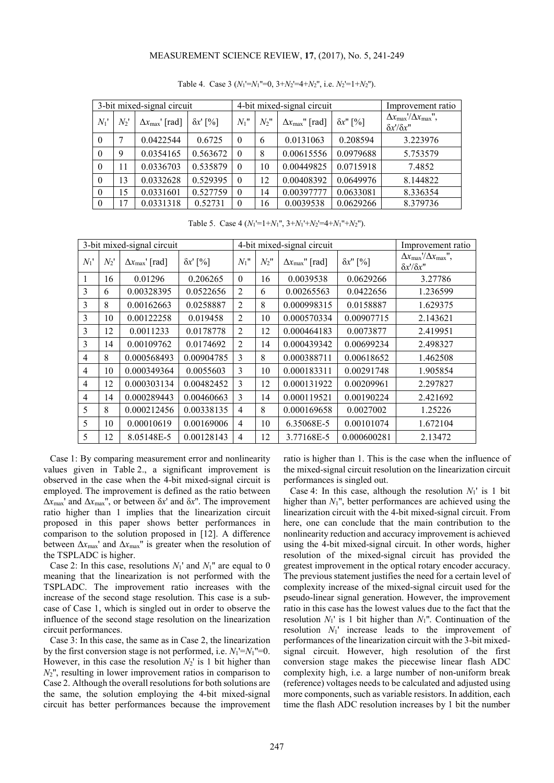## MEASUREMENT SCIENCE REVIEW, **17**, (2017), No. 5, 241-249

| 3-bit mixed-signal circuit |         |                               |                  | 4-bit mixed-signal circuit |         |                                 |                  | Improvement ratio                                                                               |
|----------------------------|---------|-------------------------------|------------------|----------------------------|---------|---------------------------------|------------------|-------------------------------------------------------------------------------------------------|
| $N_1'$                     | $N_2$ ' | $\Delta x_{\text{max}}$ [rad] | $\delta x$ ' [%] | $N_1$ "                    | $N_2$ " | $\Delta x_{\text{max}}$ " [rad] | $\delta x$ " [%] | $\Delta x_{\text{max}}/\Delta x_{\text{max}}$ ",<br>$\delta x^{\prime}/\delta x^{\prime\prime}$ |
| $\theta$                   |         | 0.0422544                     | 0.6725           | $\theta$                   | 6       | 0.0131063                       | 0.208594         | 3.223976                                                                                        |
| $\theta$                   | 9       | 0.0354165                     | 0.563672         | $\theta$                   | 8       | 0.00615556                      | 0.0979688        | 5.753579                                                                                        |
| $\theta$                   | 11      | 0.0336703                     | 0.535879         | $\Omega$                   | 10      | 0.00449825                      | 0.0715918        | 7.4852                                                                                          |
| $\theta$                   | 13      | 0.0332628                     | 0.529395         | $\theta$                   | 12      | 0.00408392                      | 0.0649976        | 8.144822                                                                                        |
| $\theta$                   | 15      | 0.0331601                     | 0.527759         | $\theta$                   | 14      | 0.00397777                      | 0.0633081        | 8.336354                                                                                        |
| $\theta$                   | 17      | 0.0331318                     | 0.52731          | $\Omega$                   | 6       | 0.0039538                       | 0.0629266        | 8.379736                                                                                        |

Table 4. Case 3 (*N*1'=*N*1''=0, 3+*N*2'=4+*N*2'', i.e. *N*2'=1+*N*2'').

Table 5. Case 4 (*N*1'=1+*N*1'', 3+*N*1'+*N*2'=4+*N*1''+*N*2'').

| 3-bit mixed-signal circuit |        |                                 | 4-bit mixed-signal circuit |                |         |                                 | Improvement ratio |                                                                                                   |
|----------------------------|--------|---------------------------------|----------------------------|----------------|---------|---------------------------------|-------------------|---------------------------------------------------------------------------------------------------|
| $N_1'$                     | $N_2'$ | $\Delta x_{\text{max}}$ ' [rad] | $\delta x'$ [%]            | $N_1$ "        | $N_2$ " | $\Delta x_{\text{max}}$ " [rad] | $\delta x$ " [%]  | $\Delta x_{\text{max}}' / \Delta x_{\text{max}}''$<br>$\delta x^{\prime}/\delta x^{\prime\prime}$ |
| 1                          | 16     | 0.01296                         | 0.206265                   | $\theta$       | 16      | 0.0039538                       | 0.0629266         | 3.27786                                                                                           |
| 3                          | 6      | 0.00328395                      | 0.0522656                  | 2              | 6       | 0.00265563                      | 0.0422656         | 1.236599                                                                                          |
| $\mathbf{3}$               | 8      | 0.00162663                      | 0.0258887                  | 2              | 8       | 0.000998315                     | 0.0158887         | 1.629375                                                                                          |
| 3                          | 10     | 0.00122258                      | 0.019458                   | 2              | 10      | 0.000570334                     | 0.00907715        | 2.143621                                                                                          |
| 3                          | 12     | 0.0011233                       | 0.0178778                  | 2              | 12      | 0.000464183                     | 0.0073877         | 2.419951                                                                                          |
| $\mathbf{3}$               | 14     | 0.00109762                      | 0.0174692                  | 2              | 14      | 0.000439342                     | 0.00699234        | 2.498327                                                                                          |
| $\overline{4}$             | 8      | 0.000568493                     | 0.00904785                 | 3              | 8       | 0.000388711                     | 0.00618652        | 1.462508                                                                                          |
| $\overline{4}$             | 10     | 0.000349364                     | 0.0055603                  | 3              | 10      | 0.000183311                     | 0.00291748        | 1.905854                                                                                          |
| $\overline{4}$             | 12     | 0.000303134                     | 0.00482452                 | 3              | 12      | 0.000131922                     | 0.00209961        | 2.297827                                                                                          |
| $\overline{4}$             | 14     | 0.000289443                     | 0.00460663                 | 3              | 14      | 0.000119521                     | 0.00190224        | 2.421692                                                                                          |
| 5                          | 8      | 0.000212456                     | 0.00338135                 | $\overline{4}$ | 8       | 0.000169658                     | 0.0027002         | 1.25226                                                                                           |
| 5                          | 10     | 0.00010619                      | 0.00169006                 | 4              | 10      | 6.35068E-5                      | 0.00101074        | 1.672104                                                                                          |
| 5                          | 12     | 8.05148E-5                      | 0.00128143                 | $\overline{4}$ | 12      | 3.77168E-5                      | 0.000600281       | 2.13472                                                                                           |

Case 1: By comparing measurement error and nonlinearity values given in Table 2., a significant improvement is observed in the case when the 4-bit mixed-signal circuit is employed. The improvement is defined as the ratio between  $\Delta x_{\text{max}}$ ' and  $\Delta x_{\text{max}}$ '', or between  $\delta x$ ' and  $\delta x$ ''. The improvement ratio higher than 1 implies that the linearization circuit proposed in this paper shows better performances in comparison to the solution proposed in [12]. A difference between  $\Delta x_{\text{max}}$ ' and  $\Delta x_{\text{max}}$ '' is greater when the resolution of the TSPLADC is higher.

Case 2: In this case, resolutions  $N_1$ ' and  $N_1$ '' are equal to 0 meaning that the linearization is not performed with the TSPLADC. The improvement ratio increases with the increase of the second stage resolution. This case is a subcase of Case 1, which is singled out in order to observe the influence of the second stage resolution on the linearization circuit performances.

Case 3: In this case, the same as in Case 2, the linearization by the first conversion stage is not performed, i.e.  $N_1 = N_1$ <sup> $= 0$ </sup>. However, in this case the resolution *N*2' is 1 bit higher than  $N_2$ <sup>"</sup>, resulting in lower improvement ratios in comparison to Case 2. Although the overall resolutions for both solutions are the same, the solution employing the 4-bit mixed-signal circuit has better performances because the improvement ratio is higher than 1. This is the case when the influence of the mixed-signal circuit resolution on the linearization circuit performances is singled out.

Case 4: In this case, although the resolution  $N_1$ <sup>'</sup> is 1 bit higher than *N*1'', better performances are achieved using the linearization circuit with the 4-bit mixed-signal circuit. From here, one can conclude that the main contribution to the nonlinearity reduction and accuracy improvement is achieved using the 4-bit mixed-signal circuit. In other words, higher resolution of the mixed-signal circuit has provided the greatest improvement in the optical rotary encoder accuracy. The previous statement justifies the need for a certain level of complexity increase of the mixed-signal circuit used for the pseudo-linear signal generation. However, the improvement ratio in this case has the lowest values due to the fact that the resolution *N*1' is 1 bit higher than *N*1''. Continuation of the resolution *N*1' increase leads to the improvement of performances of the linearization circuit with the 3-bit mixedsignal circuit. However, high resolution of the first conversion stage makes the piecewise linear flash ADC complexity high, i.e. a large number of non-uniform break (reference) voltages needs to be calculated and adjusted using more components, such as variable resistors. In addition, each time the flash ADC resolution increases by 1 bit the number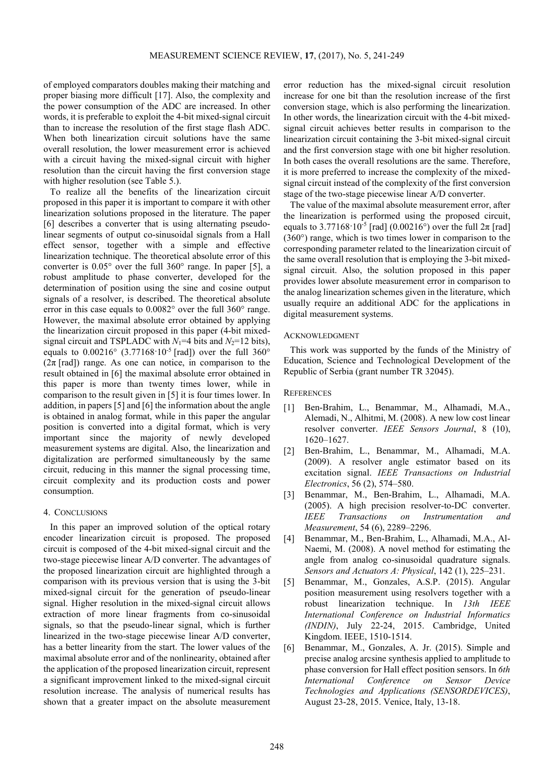of employed comparators doubles making their matching and proper biasing more difficult [17]. Also, the complexity and the power consumption of the ADC are increased. In other words, it is preferable to exploit the 4-bit mixed-signal circuit than to increase the resolution of the first stage flash ADC. When both linearization circuit solutions have the same overall resolution, the lower measurement error is achieved with a circuit having the mixed-signal circuit with higher resolution than the circuit having the first conversion stage with higher resolution (see Table 5.).

To realize all the benefits of the linearization circuit proposed in this paper it is important to compare it with other linearization solutions proposed in the literature. The paper [6] describes a converter that is using alternating pseudolinear segments of output co-sinusoidal signals from a Hall effect sensor, together with a simple and effective linearization technique. The theoretical absolute error of this converter is 0.05° over the full 360° range. In paper [5], a robust amplitude to phase converter, developed for the determination of position using the sine and cosine output signals of a resolver, is described. The theoretical absolute error in this case equals to 0.0082° over the full 360° range. However, the maximal absolute error obtained by applying the linearization circuit proposed in this paper (4-bit mixedsignal circuit and TSPLADC with  $N_1=4$  bits and  $N_2=12$  bits), equals to  $0.00216^{\circ}$  (3.77168·10<sup>-5</sup> [rad]) over the full 360<sup>°</sup>  $(2\pi \text{ [rad]})$  range. As one can notice, in comparison to the result obtained in [6] the maximal absolute error obtained in this paper is more than twenty times lower, while in comparison to the result given in [5] it is four times lower. In addition, in papers [5] and [6] the information about the angle is obtained in analog format, while in this paper the angular position is converted into a digital format, which is very important since the majority of newly developed measurement systems are digital. Also, the linearization and digitalization are performed simultaneously by the same circuit, reducing in this manner the signal processing time, circuit complexity and its production costs and power consumption.

# 4. CONCLUSIONS

In this paper an improved solution of the optical rotary encoder linearization circuit is proposed. The proposed circuit is composed of the 4-bit mixed-signal circuit and the two-stage piecewise linear A/D converter. The advantages of the proposed linearization circuit are highlighted through a comparison with its previous version that is using the 3-bit mixed-signal circuit for the generation of pseudo-linear signal. Higher resolution in the mixed-signal circuit allows extraction of more linear fragments from co-sinusoidal signals, so that the pseudo-linear signal, which is further linearized in the two-stage piecewise linear A/D converter, has a better linearity from the start. The lower values of the maximal absolute error and of the nonlinearity, obtained after the application of the proposed linearization circuit, represent a significant improvement linked to the mixed-signal circuit resolution increase. The analysis of numerical results has shown that a greater impact on the absolute measurement

error reduction has the mixed-signal circuit resolution increase for one bit than the resolution increase of the first conversion stage, which is also performing the linearization. In other words, the linearization circuit with the 4-bit mixedsignal circuit achieves better results in comparison to the linearization circuit containing the 3-bit mixed-signal circuit and the first conversion stage with one bit higher resolution. In both cases the overall resolutions are the same. Therefore, it is more preferred to increase the complexity of the mixedsignal circuit instead of the complexity of the first conversion stage of the two-stage piecewise linear A/D converter.

The value of the maximal absolute measurement error, after the linearization is performed using the proposed circuit, equals to 3.77168 $\cdot$ 10<sup>-5</sup> [rad] (0.00216°) over the full  $2\pi$  [rad] (360°) range, which is two times lower in comparison to the corresponding parameter related to the linearization circuit of the same overall resolution that is employing the 3-bit mixedsignal circuit. Also, the solution proposed in this paper provides lower absolute measurement error in comparison to the analog linearization schemes given in the literature, which usually require an additional ADC for the applications in digital measurement systems.

#### ACKNOWLEDGMENT

This work was supported by the funds of the Ministry of Education, Science and Technological Development of the Republic of Serbia (grant number TR 32045).

## **REFERENCES**

- [1] Ben-Brahim, L., Benammar, M., Alhamadi, M.A., Alemadi, N., Alhitmi, M. (2008). A new low cost linear resolver converter. *IEEE Sensors Journal*, 8 (10), 1620–1627.
- [2] Ben-Brahim, L., Benammar, M., Alhamadi, M.A. (2009). A resolver angle estimator based on its excitation signal. *IEEE Transactions on Industrial Electronics*, 56 (2), 574–580.
- [3] Benammar, M., Ben-Brahim, L., Alhamadi, M.A. (2005). A high precision resolver-to-DC converter. *IEEE Transactions on Instrumentation and Measurement*, 54 (6), 2289–2296.
- [4] Benammar, M., Ben-Brahim, L., Alhamadi, M.A., Al-Naemi, M. (2008). A novel method for estimating the angle from analog co-sinusoidal quadrature signals. *Sensors and Actuators A: Physical*, 142 (1), 225–231.
- [5] Benammar, M., Gonzales, A.S.P. (2015). Angular position measurement using resolvers together with a robust linearization technique. In *13th IEEE International Conference on Industrial Informatics (INDIN)*, July 22-24, 2015. Cambridge, United Kingdom. IEEE, 1510-1514.
- [6] Benammar, M., Gonzales, A. Jr. (2015). Simple and precise analog arcsine synthesis applied to amplitude to phase conversion for Hall effect position sensors. In *6th International Conference on Sensor Device Technologies and Applications (SENSORDEVICES)*, August 23-28, 2015. Venice, Italy, 13-18.